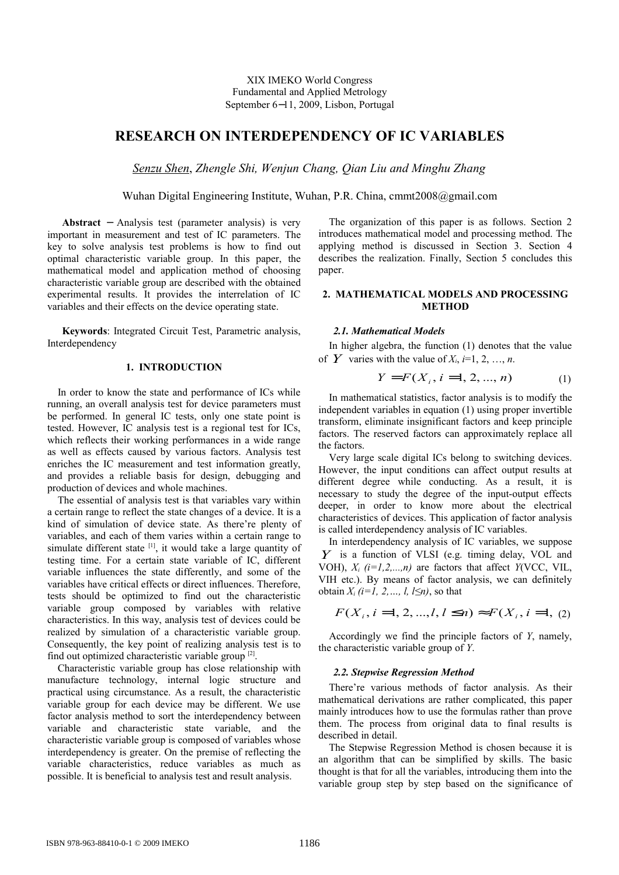# **RESEARCH ON INTERDEPENDENCY OF IC VARIABLES**

*Senzu Shen*, *Zhengle Shi, Wenjun Chang, Qian Liu and Minghu Zhang*

Wuhan Digital Engineering Institute, Wuhan, P.R. China, cmmt2008@gmail.com

**Abstract** − Analysis test (parameter analysis) is very important in measurement and test of IC parameters. The key to solve analysis test problems is how to find out optimal characteristic variable group. In this paper, the mathematical model and application method of choosing characteristic variable group are described with the obtained experimental results. It provides the interrelation of IC variables and their effects on the device operating state.

**Keywords**: Integrated Circuit Test, Parametric analysis, Interdependency

## **1. INTRODUCTION**

In order to know the state and performance of ICs while running, an overall analysis test for device parameters must be performed. In general IC tests, only one state point is tested. However, IC analysis test is a regional test for ICs, which reflects their working performances in a wide range as well as effects caused by various factors. Analysis test enriches the IC measurement and test information greatly, and provides a reliable basis for design, debugging and production of devices and whole machines.

The essential of analysis test is that variables vary within a certain range to reflect the state changes of a device. It is a kind of simulation of device state. As there're plenty of variables, and each of them varies within a certain range to simulate different state  $\begin{bmatrix} 11 \\ 1 \end{bmatrix}$ , it would take a large quantity of testing time. For a certain state variable of IC, different variable influences the state differently, and some of the variables have critical effects or direct influences. Therefore, tests should be optimized to find out the characteristic variable group composed by variables with relative characteristics. In this way, analysis test of devices could be realized by simulation of a characteristic variable group. Consequently, the key point of realizing analysis test is to find out optimized characteristic variable group<sup>[2]</sup>.

Characteristic variable group has close relationship with manufacture technology, internal logic structure and practical using circumstance. As a result, the characteristic variable group for each device may be different. We use factor analysis method to sort the interdependency between variable and characteristic state variable, and the characteristic variable group is composed of variables whose interdependency is greater. On the premise of reflecting the variable characteristics, reduce variables as much as possible. It is beneficial to analysis test and result analysis.

The organization of this paper is as follows. Section 2 introduces mathematical model and processing method. The applying method is discussed in Section 3. Section 4 describes the realization. Finally, Section 5 concludes this paper.

# **2. MATHEMATICAL MODELS AND PROCESSING METHOD**

# *2.1. Mathematical Models*

In higher algebra, the function (1) denotes that the value of *Y* varies with the value of  $X_i$ ,  $i=1, 2, ..., n$ .

$$
Y = F(X_i, i = 1, 2, ..., n)
$$
 (1)

In mathematical statistics, factor analysis is to modify the independent variables in equation (1) using proper invertible transform, eliminate insignificant factors and keep principle factors. The reserved factors can approximately replace all the factors.

Very large scale digital ICs belong to switching devices. However, the input conditions can affect output results at different degree while conducting. As a result, it is necessary to study the degree of the input-output effects deeper, in order to know more about the electrical characteristics of devices. This application of factor analysis is called interdependency analysis of IC variables.

In interdependency analysis of IC variables, we suppose *Y* is a function of VLSI (e.g. timing delay, VOL and VOH),  $X_i$   $(i=1,2,...,n)$  are factors that affect  $Y(VCC, VIL, T)$ VIH etc.). By means of factor analysis, we can definitely obtain  $X_i$  (i=1, 2, ..., l, l $\leq n$ ), so that

$$
F(X_i, i = 1, 2, ..., l, l \le n) \approx F(X_i, i = 1, (2)
$$

Accordingly we find the principle factors of *Y*, namely, the characteristic variable group of *Y*.

## *2.2. Stepwise Regression Method*

There're various methods of factor analysis. As their mathematical derivations are rather complicated, this paper mainly introduces how to use the formulas rather than prove them. The process from original data to final results is described in detail

The Stepwise Regression Method is chosen because it is an algorithm that can be simplified by skills. The basic thought is that for all the variables, introducing them into the variable group step by step based on the significance of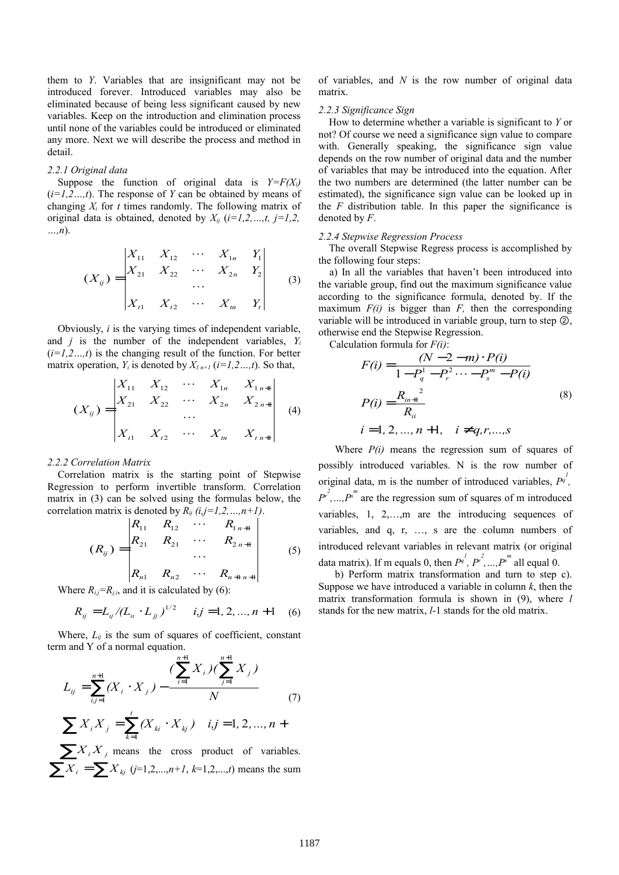them to *Y*. Variables that are insignificant may not be introduced forever. Introduced variables may also be eliminated because of being less significant caused by new variables. Keep on the introduction and elimination process until none of the variables could be introduced or eliminated any more. Next we will describe the process and method in detail.

#### *2.2.1 Original data*

Suppose the function of original data is  $Y = F(X_i)$ (*i=1,2…,t*). The response of *Y* can be obtained by means of changing *Xi* for *t* times randomly. The following matrix of original data is obtained, denoted by  $X_{ij}$  ( $i=1,2,...,t$ ,  $j=1,2$ , *…,n*).

$$
(X_{ij}) = \begin{vmatrix} X_{11} & X_{12} & \cdots & X_{1n} & Y_1 \\ X_{21} & X_{22} & \cdots & X_{2n} & Y_2 \\ \vdots & \vdots & \ddots & \vdots \\ X_{t1} & X_{t2} & \cdots & X_{tn} & Y_t \end{vmatrix}
$$
 (3)

Obviously, *i* is the varying times of independent variable, and *j* is the number of the independent variables, *Y<sup>i</sup>*  $(i=1,2...$ ,*t*) is the changing result of the function. For better matrix operation,  $Y_i$  is denoted by  $X_{i,n+1}$  ( $i=1,2...$ , t). So that,

$$
(X_{ij}) = \begin{vmatrix} X_{11} & X_{12} & \cdots & X_{1n} & X_{1n+1} \\ X_{21} & X_{22} & \cdots & X_{2n} & X_{2n+1} \\ \vdots & \vdots & \ddots & \vdots \\ X_{i1} & X_{i2} & \cdots & X_{in} & X_{i,n+1} \end{vmatrix}
$$
 (4)

#### *2.2.2 Correlation Matrix*

Correlation matrix is the starting point of Stepwise Regression to perform invertible transform. Correlation matrix in (3) can be solved using the formulas below, the correlation matrix is denoted by  $R_{ij}$  (i,j=1,2,…,n+1).

$$
(R_{ij}) = \begin{vmatrix} R_{11} & R_{12} & \cdots & R_{1n+1} \\ R_{21} & R_{21} & \cdots & R_{2n+1} \\ \vdots & \vdots & \ddots & \vdots \\ R_{n1} & R_{n2} & \cdots & R_{n+1n+1} \end{vmatrix}
$$
 (5)

Where  $R_{i,j} = R_{j,i}$ , and it is calculated by (6):

$$
R_{ij} = L_{ij}/(L_{ii} \cdot L_{jj})^{1/2} \quad i,j = 1, 2, ..., n+1 \quad (6)
$$

Where,  $L_{ii}$  is the sum of squares of coefficient, constant term and Y of a normal equation.

$$
L_{ij} = \sum_{i,j=1}^{n+1} (X_i \cdot X_j) - \frac{\left(\sum_{i=1}^{n+1} X_i\right)\left(\sum_{j=1}^{n+1} X_j\right)}{N}
$$
  

$$
\sum X_i X_{ij} = \sum Y_i (X_i \cdot X_{ij}) \quad i \quad j \quad = 1, 2, \quad n+1
$$

$$
\sum X_i X_j = \sum_{k=1}^{r} (X_{ki} \cdot X_{kj}) \quad i, j = 1, 2, ..., n +
$$

 $\sum_{i} X_i X_i$  means the cross product of variables.  $\sum X_i = \sum X_{kj}$  (*j*=1,2,...,*n+1*, *k*=1,2,...,*t*) means the sum of variables, and *N* is the row number of original data matrix.

#### *2.2.3 Significance Sign*

How to determine whether a variable is significant to *Y* or not? Of course we need a significance sign value to compare with. Generally speaking, the significance sign value depends on the row number of original data and the number of variables that may be introduced into the equation. After the two numbers are determined (the latter number can be estimated), the significance sign value can be looked up in the *F* distribution table. In this paper the significance is denoted by *F*.

## *2.2.4 Stepwise Regression Process*

The overall Stepwise Regress process is accomplished by the following four steps:

a) In all the variables that haven't been introduced into the variable group, find out the maximum significance value according to the significance formula, denoted by. If the maximum  $F(i)$  is bigger than  $F$ , then the corresponding variable will be introduced in variable group, turn to step  $\circled{2}$ , otherwise end the Stepwise Regression.

Calculation formula for *F(i)*:

$$
F(i) = \frac{(N-2-m) \cdot P(i)}{1 - P_q^1 - P_r^2 \cdots - P_s^m - P(i)}
$$
  
\n
$$
P(i) = \frac{R_{in+1}^2}{R_{ii}}
$$
  
\n $i = 1, 2, ..., n+1, \quad i \neq q, r, ..., s$  (8)

Where *P(i)* means the regression sum of squares of possibly introduced variables. N is the row number of original data, m is the number of introduced variables,  $P_q^{\mu}$ ,  $P^{r^2},...,P^{r^m}$  are the regression sum of squares of m introduced variables, 1, 2,…,m are the introducing sequences of variables, and q, r, …, s are the column numbers of introduced relevant variables in relevant matrix (or original data matrix). If m equals 0, then  $P^{q^l}, P^{r^2}, ..., P^{s^m}$  all equal 0.

b) Perform matrix transformation and turn to step c). Suppose we have introduced a variable in column *k*, then the matrix transformation formula is shown in (9), where *l* stands for the new matrix, *l*-1 stands for the old matrix.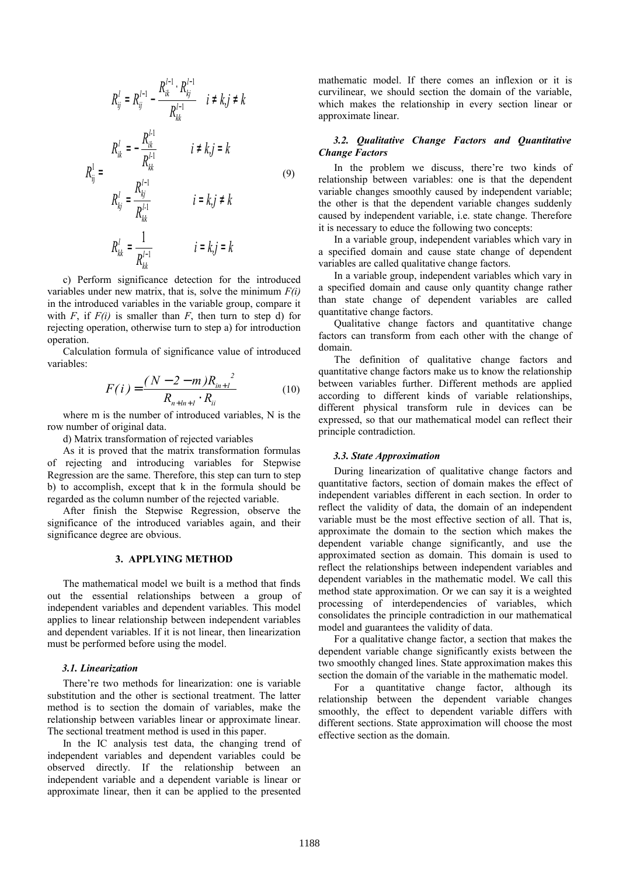$$
R_{ij}^{l} = R_{ij}^{l-1} - \frac{R_{ik}^{l-1} \cdot R_{kj}^{l-1}}{R_{kk}^{l-1}} \quad i \neq k, j \neq k
$$
\n
$$
R_{ij}^{l} = \begin{cases} R_{ik}^{l} = -\frac{R_{ik}^{l-1}}{R_{kk}^{l-1}} & i \neq k, j = k \\ R_{kj}^{l} = \frac{R_{kj}^{l-1}}{R_{kk}^{l-1}} & i = k, j \neq k \\ R_{kk}^{l} = \frac{1}{R_{kk}^{l-1}} & i = k, j = k \end{cases}
$$
\n(9)

c) Perform significance detection for the introduced variables under new matrix, that is, solve the minimum *F(i)* in the introduced variables in the variable group, compare it with  $F$ , if  $F(i)$  is smaller than  $F$ , then turn to step d) for rejecting operation, otherwise turn to step a) for introduction operation.

Calculation formula of significance value of introduced variables:

$$
F(i) = \frac{(N-2-m)R_{in+1}^{2}}{R_{n+ln+1} \cdot R_{ii}}
$$
 (10)

where m is the number of introduced variables, N is the row number of original data.

d) Matrix transformation of rejected variables

As it is proved that the matrix transformation formulas of rejecting and introducing variables for Stepwise Regression are the same. Therefore, this step can turn to step b) to accomplish, except that k in the formula should be regarded as the column number of the rejected variable.

After finish the Stepwise Regression, observe the significance of the introduced variables again, and their significance degree are obvious.

## **3. APPLYING METHOD**

The mathematical model we built is a method that finds out the essential relationships between a group of independent variables and dependent variables. This model applies to linear relationship between independent variables and dependent variables. If it is not linear, then linearization must be performed before using the model.

## *3.1. Linearization*

There're two methods for linearization: one is variable substitution and the other is sectional treatment. The latter method is to section the domain of variables, make the relationship between variables linear or approximate linear. The sectional treatment method is used in this paper.

In the IC analysis test data, the changing trend of independent variables and dependent variables could be observed directly. If the relationship between an independent variable and a dependent variable is linear or approximate linear, then it can be applied to the presented mathematic model. If there comes an inflexion or it is curvilinear, we should section the domain of the variable, which makes the relationship in every section linear or approximate linear.

# *3.2. Qualitative Change Factors and Quantitative Change Factors*

In the problem we discuss, there're two kinds of relationship between variables: one is that the dependent variable changes smoothly caused by independent variable; the other is that the dependent variable changes suddenly caused by independent variable, i.e. state change. Therefore it is necessary to educe the following two concepts:

In a variable group, independent variables which vary in a specified domain and cause state change of dependent variables are called qualitative change factors.

In a variable group, independent variables which vary in a specified domain and cause only quantity change rather than state change of dependent variables are called quantitative change factors.

Qualitative change factors and quantitative change factors can transform from each other with the change of domain.

The definition of qualitative change factors and quantitative change factors make us to know the relationship between variables further. Different methods are applied according to different kinds of variable relationships, different physical transform rule in devices can be expressed, so that our mathematical model can reflect their principle contradiction.

#### *3.3. State Approximation*

During linearization of qualitative change factors and quantitative factors, section of domain makes the effect of independent variables different in each section. In order to reflect the validity of data, the domain of an independent variable must be the most effective section of all. That is, approximate the domain to the section which makes the dependent variable change significantly, and use the approximated section as domain. This domain is used to reflect the relationships between independent variables and dependent variables in the mathematic model. We call this method state approximation. Or we can say it is a weighted processing of interdependencies of variables, which consolidates the principle contradiction in our mathematical model and guarantees the validity of data.

For a qualitative change factor, a section that makes the dependent variable change significantly exists between the two smoothly changed lines. State approximation makes this section the domain of the variable in the mathematic model.

For a quantitative change factor, although its relationship between the dependent variable changes smoothly, the effect to dependent variable differs with different sections. State approximation will choose the most effective section as the domain.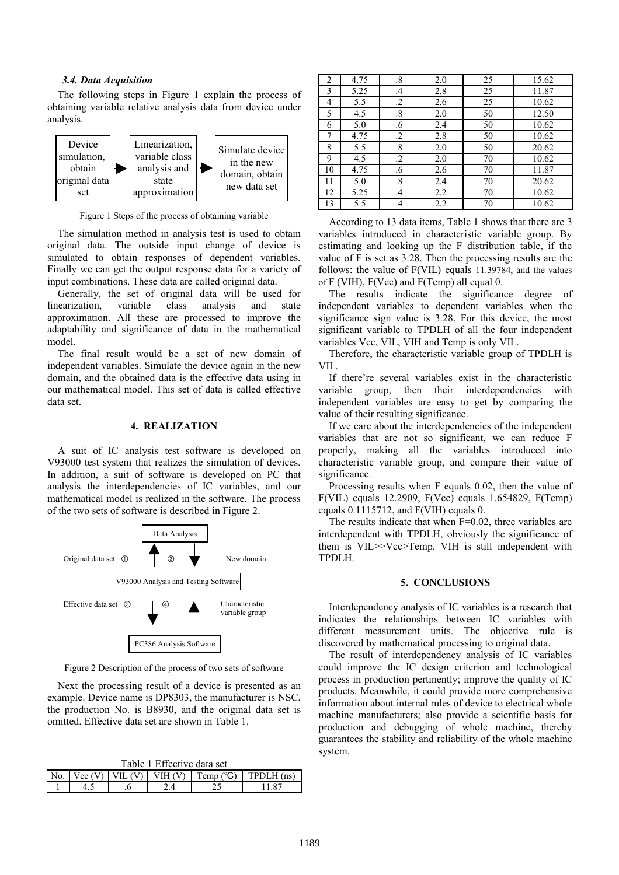#### *3.4. Data Acquisition*

The following steps in Figure 1 explain the process of obtaining variable relative analysis data from device under analysis.



Figure 1 Steps of the process of obtaining variable

The simulation method in analysis test is used to obtain original data. The outside input change of device is simulated to obtain responses of dependent variables. Finally we can get the output response data for a variety of input combinations. These data are called original data.

Generally, the set of original data will be used for linearization, variable class analysis and state approximation. All these are processed to improve the adaptability and significance of data in the mathematical model.

The final result would be a set of new domain of independent variables. Simulate the device again in the new domain, and the obtained data is the effective data using in our mathematical model. This set of data is called effective data set.

# **4. REALIZATION**

A suit of IC analysis test software is developed on V93000 test system that realizes the simulation of devices. In addition, a suit of software is developed on PC that analysis the interdependencies of IC variables, and our mathematical model is realized in the software. The process of the two sets of software is described in Figure 2.



Figure 2 Description of the process of two sets of software

Next the processing result of a device is presented as an example. Device name is DP8303, the manufacturer is NSC, the production No. is B8930, and the original data set is omitted. Effective data set are shown in Table 1.

| Table I Effective data set |  |  |                                   |                               |            |  |  |  |
|----------------------------|--|--|-----------------------------------|-------------------------------|------------|--|--|--|
| No.                        |  |  | Vec $(V)$   VIL $(V)$   VIH $(V)$ | $\Gamma$ Temp ( $^{\circ}$ C) | TPDLH (ns) |  |  |  |
|                            |  |  |                                   |                               |            |  |  |  |

 $T_{\rm E}$  1  $T_{\rm E}$   $\sim$   $T_{\rm E}$   $\sim$   $T_{\rm E}$ 

| 2  | 4.75 | $\boldsymbol{.8}$ | 2.0 | 25 | 15.62 |
|----|------|-------------------|-----|----|-------|
| 3  | 5.25 | $\cdot$ 4         | 2.8 | 25 | 11.87 |
| 4  | 5.5  | $\cdot$           | 2.6 | 25 | 10.62 |
| 5  | 4.5  | $\boldsymbol{.8}$ | 2.0 | 50 | 12.50 |
| 6  | 5.0  | .6                | 2.4 | 50 | 10.62 |
| 7  | 4.75 | $\cdot$           | 2.8 | 50 | 10.62 |
| 8  | 5.5  | $\boldsymbol{.8}$ | 2.0 | 50 | 20.62 |
| 9  | 4.5  | $\cdot$           | 2.0 | 70 | 10.62 |
| 10 | 4.75 | .6                | 2.6 | 70 | 11.87 |
| 11 | 5.0  | $\boldsymbol{.8}$ | 2.4 | 70 | 20.62 |
| 12 | 5.25 | $\mathcal{A}$     | 2.2 | 70 | 10.62 |
| 13 | 5.5  | $\mathcal{A}$     | 2.2 | 70 | 10.62 |

According to 13 data items, Table 1 shows that there are 3 variables introduced in characteristic variable group. By estimating and looking up the F distribution table, if the value of F is set as 3.28. Then the processing results are the follows: the value of F(VIL) equals 11.39784, and the values of F (VIH), F(Vcc) and F(Temp) all equal 0.

The results indicate the significance degree of independent variables to dependent variables when the significance sign value is 3.28. For this device, the most significant variable to TPDLH of all the four independent variables Vcc, VIL, VIH and Temp is only VIL.

Therefore, the characteristic variable group of TPDLH is VIL.

If there're several variables exist in the characteristic variable group, then their interdependencies with independent variables are easy to get by comparing the value of their resulting significance.

If we care about the interdependencies of the independent variables that are not so significant, we can reduce F properly, making all the variables introduced into characteristic variable group, and compare their value of significance.

Processing results when F equals 0.02, then the value of F(VIL) equals 12.2909, F(Vcc) equals 1.654829, F(Temp) equals 0.1115712, and F(VIH) equals 0.

The results indicate that when F=0.02, three variables are interdependent with TPDLH, obviously the significance of them is VIL>>Vcc>Temp. VIH is still independent with TPDLH.

### **5. CONCLUSIONS**

Interdependency analysis of IC variables is a research that indicates the relationships between IC variables with different measurement units. The objective rule is discovered by mathematical processing to original data.

The result of interdependency analysis of IC variables could improve the IC design criterion and technological process in production pertinently; improve the quality of IC products. Meanwhile, it could provide more comprehensive information about internal rules of device to electrical whole machine manufacturers; also provide a scientific basis for production and debugging of whole machine, thereby guarantees the stability and reliability of the whole machine system.